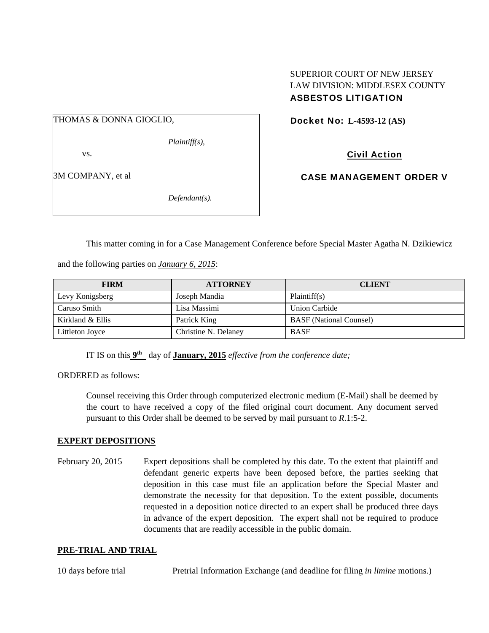### THOMAS & DONNA GIOGLIO,

*Plaintiff(s),* 

vs.

3M COMPANY, et al

*Defendant(s).* 

## SUPERIOR COURT OF NEW JERSEY LAW DIVISION: MIDDLESEX COUNTY ASBESTOS LITIGATION

Docket No: **L-4593-12 (AS)** 

Civil Action

CASE MANAGEMENT ORDER V

This matter coming in for a Case Management Conference before Special Master Agatha N. Dzikiewicz

and the following parties on *January 6, 2015*:

| <b>FIRM</b>      | <b>ATTORNEY</b>      | <b>CLIENT</b>                  |
|------------------|----------------------|--------------------------------|
| Levy Konigsberg  | Joseph Mandia        | Plaintiff(s)                   |
| Caruso Smith     | Lisa Massimi         | Union Carbide                  |
| Kirkland & Ellis | Patrick King         | <b>BASF</b> (National Counsel) |
| Littleton Joyce  | Christine N. Delaney | <b>BASF</b>                    |

IT IS on this **9th** day of **January, 2015** *effective from the conference date;*

ORDERED as follows:

Counsel receiving this Order through computerized electronic medium (E-Mail) shall be deemed by the court to have received a copy of the filed original court document. Any document served pursuant to this Order shall be deemed to be served by mail pursuant to *R*.1:5-2.

#### **EXPERT DEPOSITIONS**

February 20, 2015 Expert depositions shall be completed by this date. To the extent that plaintiff and defendant generic experts have been deposed before, the parties seeking that deposition in this case must file an application before the Special Master and demonstrate the necessity for that deposition. To the extent possible, documents requested in a deposition notice directed to an expert shall be produced three days in advance of the expert deposition. The expert shall not be required to produce documents that are readily accessible in the public domain.

#### **PRE-TRIAL AND TRIAL**

10 days before trial Pretrial Information Exchange (and deadline for filing *in limine* motions.)